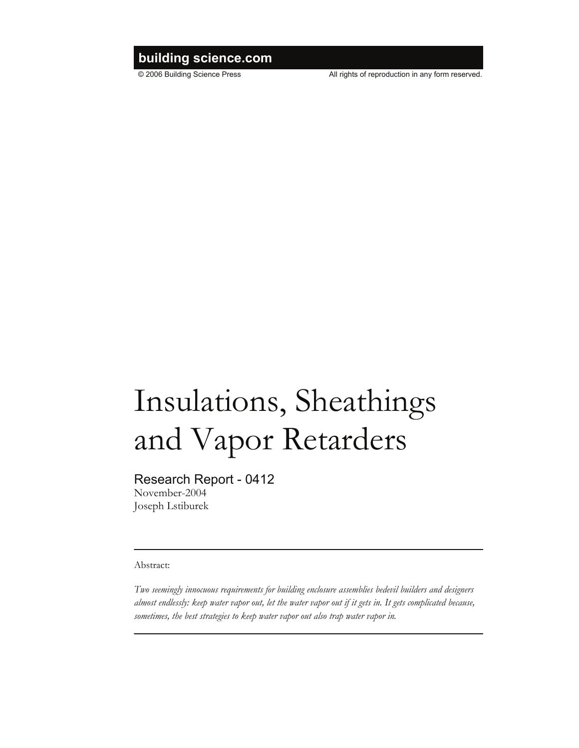## **building science.com**

© 2006 Building Science Press All rights of reproduction in any form reserved.

# Insulations, Sheathings and Vapor Retarders

### Research Report - 0412

November-2004 Joseph Lstiburek

Abstract:

*Two seemingly innocuous requirements for building enclosure assemblies bedevil builders and designers almost endlessly: keep water vapor out, let the water vapor out if it gets in. It gets complicated because, sometimes, the best strategies to keep water vapor out also trap water vapor in.*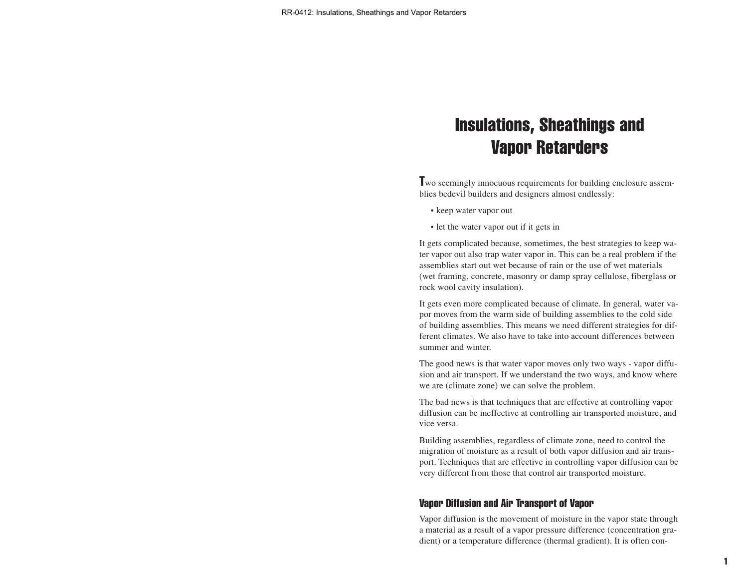# Insulations, Sheathings and Vapor Retarders

Two seemingly innocuous requirements for building enclosure assemblies bedevil builders and designers almost endlessly:

- keep water vapor out
- let the water vapor out if it gets in

It gets complicated because, sometimes, the best strategies to keep water vapor out also trap water vapor in. This can be a real problem if the assemblies start out wet because of rain or the use of wet materials (wet framing, concrete, masonry or damp spray cellulose, fiberglass or rock wool cavity insulation).

It gets even more complicated because of climate. In general, water vapor moves from the warm side of building assemblies to the cold side of building assemblies. This means we need different strategies for different climates. We also have to take into account differences between summer and winter.

The good news is that water vapor moves only two ways - vapor diffusion and air transport. If we understand the two ways, and know where we are (climate zone) we can solve the problem.

The bad news is that techniques that are effective at controlling vapor diffusion can be ineffective at controlling air transported moisture, and vice versa.

Building assemblies, regardless of climate zone, need to control the migration of moisture as a result of both vapor diffusion and air transport. Techniques that are effective in controlling vapor diffusion can be very different from those that control air transported moisture.

#### Vapor Diffusion and Air Transport of Vapor

Vapor diffusion is the movement of moisture in the vapor state through a material as a result of a vapor pressure difference (concentration gradient) or a temperature difference (thermal gradient). It is often con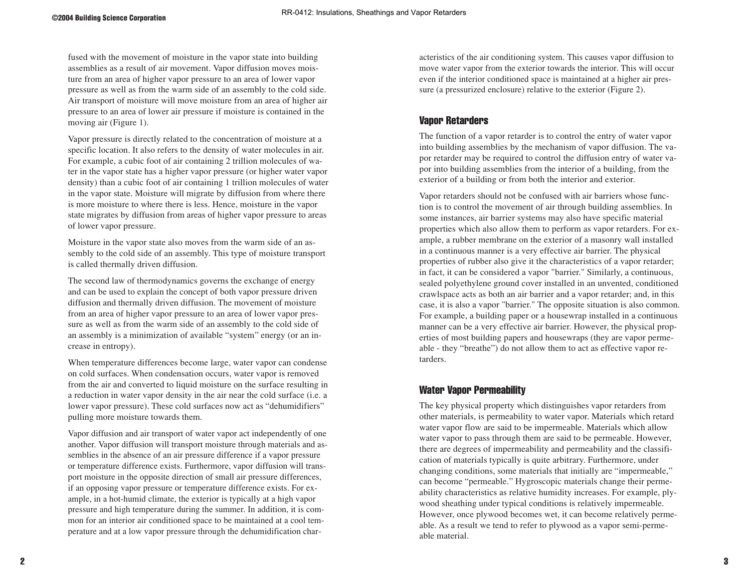fused with the movement of moisture in the vapor state into building assemblies as a result of air movement. Vapor diffusion moves moisture from an area of higher vapor pressure to an area of lower vapor pressure as well as from the warm side of an assembly to the cold side. Air transport of moisture will move moisture from an area of higher air pressure to an area of lower air pressure if moisture is contained in the moving air (Figure 1).

Vapor pressure is directly related to the concentration of moisture at a specific location. It also refers to the density of water molecules in air. For example, a cubic foot of air containing 2 trillion molecules of water in the vapor state has a higher vapor pressure (or higher water vapor density) than a cubic foot of air containing 1 trillion molecules of water in the vapor state. Moisture will migrate by diffusion from where there is more moisture to where there is less. Hence, moisture in the vapor state migrates by diffusion from areas of higher vapor pressure to areas of lower vapor pressure.

Moisture in the vapor state also moves from the warm side of an assembly to the cold side of an assembly. This type of moisture transport is called thermally driven diffusion.

The second law of thermodynamics governs the exchange of energy and can be used to explain the concept of both vapor pressure driven diffusion and thermally driven diffusion. The movement of moisture from an area of higher vapor pressure to an area of lower vapor pressure as well as from the warm side of an assembly to the cold side of an assembly is a minimization of available "system" energy (or an increase in entropy).

When temperature differences become large, water vapor can condense on cold surfaces. When condensation occurs, water vapor is removed from the air and converted to liquid moisture on the surface resulting in a reduction in water vapor density in the air near the cold surface (i.e. a lower vapor pressure). These cold surfaces now act as "dehumidifiers" pulling more moisture towards them.

Vapor diffusion and air transport of water vapor act independently of one another. Vapor diffusion will transport moisture through materials and assemblies in the absence of an air pressure difference if a vapor pressure or temperature difference exists. Furthermore, vapor diffusion will transport moisture in the opposite direction of small air pressure differences, if an opposing vapor pressure or temperature difference exists. For example, in a hot-humid climate, the exterior is typically at a high vapor pressure and high temperature during the summer. In addition, it is common for an interior air conditioned space to be maintained at a cool temperature and at a low vapor pressure through the dehumidification characteristics of the air conditioning system. This causes vapor diffusion to move water vapor from the exterior towards the interior. This will occur even if the interior conditioned space is maintained at a higher air pressure (a pressurized enclosure) relative to the exterior (Figure 2).

#### Vapor Retarders

The function of a vapor retarder is to control the entry of water vapor into building assemblies by the mechanism of vapor diffusion. The vapor retarder may be required to control the diffusion entry of water vapor into building assemblies from the interior of a building, from the exterior of a building or from both the interior and exterior.

Vapor retarders should not be confused with air barriers whose function is to control the movement of air through building assemblies. In some instances, air barrier systems may also have specific material properties which also allow them to perform as vapor retarders. For example, a rubber membrane on the exterior of a masonry wall installed in a continuous manner is a very effective air barrier. The physical properties of rubber also give it the characteristics of a vapor retarder; in fact, it can be considered a vapor "barrier." Similarly, a continuous, sealed polyethylene ground cover installed in an unvented, conditioned crawlspace acts as both an air barrier and a vapor retarder; and, in this case, it is also a vapor "barrier." The opposite situation is also common. For example, a building paper or a housewrap installed in a continuous manner can be a very effective air barrier. However, the physical properties of most building papers and housewraps (they are vapor permeable - they "breathe") do not allow them to act as effective vapor retarders.

#### Water Vapor Permeability

The key physical property which distinguishes vapor retarders from other materials, is permeability to water vapor. Materials which retard water vapor flow are said to be impermeable. Materials which allow water vapor to pass through them are said to be permeable. However, there are degrees of impermeability and permeability and the classification of materials typically is quite arbitrary. Furthermore, under changing conditions, some materials that initially are "impermeable," can become "permeable." Hygroscopic materials change their permeability characteristics as relative humidity increases. For example, plywood sheathing under typical conditions is relatively impermeable. However, once plywood becomes wet, it can become relatively permeable. As a result we tend to refer to plywood as a vapor semi-permeable material.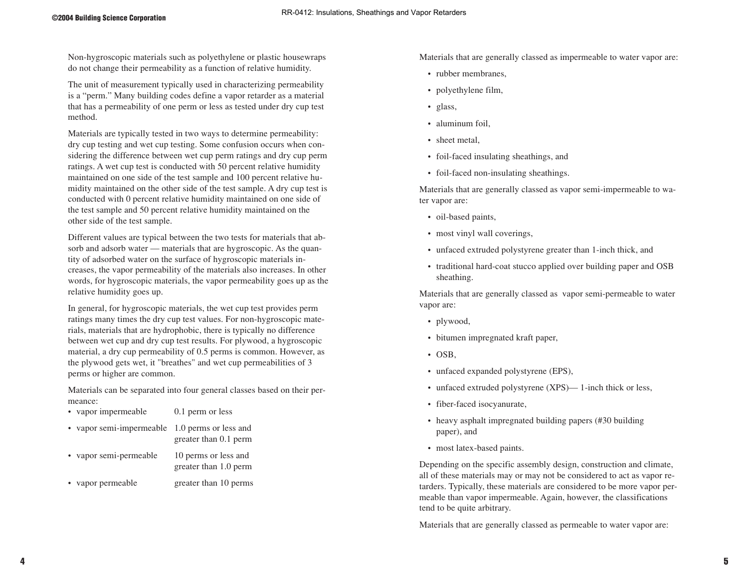Non-hygroscopic materials such as polyethylene or plastic housewraps do not change their permeability as a function of relative humidity.

The unit of measurement typically used in characterizing permeability is a "perm." Many building codes define a vapor retarder as a material that has a permeability of one perm or less as tested under dry cup test method.

Materials are typically tested in two ways to determine permeability: dry cup testing and wet cup testing. Some confusion occurs when considering the difference between wet cup perm ratings and dry cup perm ratings. A wet cup test is conducted with 50 percent relative humidity maintained on one side of the test sample and 100 percent relative humidity maintained on the other side of the test sample. A dry cup test is conducted with 0 percent relative humidity maintained on one side of the test sample and 50 percent relative humidity maintained on the other side of the test sample.

Different values are typical between the two tests for materials that absorb and adsorb water — materials that are hygroscopic. As the quantity of adsorbed water on the surface of hygroscopic materials increases, the vapor permeability of the materials also increases. In other words, for hygroscopic materials, the vapor permeability goes up as the relative humidity goes up.

In general, for hygroscopic materials, the wet cup test provides perm ratings many times the dry cup test values. For non-hygroscopic materials, materials that are hydrophobic, there is typically no difference between wet cup and dry cup test results. For plywood, a hygroscopic material, a dry cup permeability of 0.5 perms is common. However, as the plywood gets wet, it "breathes" and wet cup permeabilities of 3 perms or higher are common.

Materials can be separated into four general classes based on their permeance:

| • vapor impermeable      | 0.1 perm or less                               |
|--------------------------|------------------------------------------------|
| • vapor semi-impermeable | 1.0 perms or less and<br>greater than 0.1 perm |
| • vapor semi-permeable   | 10 perms or less and<br>greater than 1.0 perm  |
| • vapor permeable        | greater than 10 perms                          |

Materials that are generally classed as impermeable to water vapor are:

- rubber membranes,
- polyethylene film,
- glass,
- aluminum foil,
- sheet metal,
- foil-faced insulating sheathings, and
- foil-faced non-insulating sheathings.

Materials that are generally classed as vapor semi-impermeable to water vapor are:

- oil-based paints,
- most vinyl wall coverings,
- unfaced extruded polystyrene greater than 1-inch thick, and
- traditional hard-coat stucco applied over building paper and OSB sheathing.

Materials that are generally classed as vapor semi-permeable to water vapor are:

- plywood,
- bitumen impregnated kraft paper,
- OSB,
- unfaced expanded polystyrene (EPS),
- unfaced extruded polystyrene (XPS)— 1-inch thick or less,
- fiber-faced isocyanurate,
- heavy asphalt impregnated building papers (#30 building paper), and
- most latex-based paints.

Depending on the specific assembly design, construction and climate, all of these materials may or may not be considered to act as vapor retarders. Typically, these materials are considered to be more vapor permeable than vapor impermeable. Again, however, the classifications tend to be quite arbitrary.

Materials that are generally classed as permeable to water vapor are: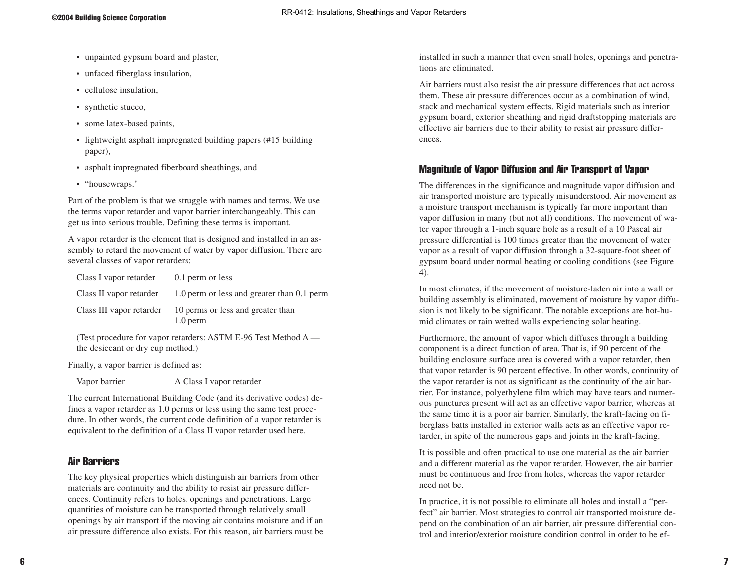- unpainted gypsum board and plaster,
- unfaced fiberglass insulation,
- cellulose insulation,
- synthetic stucco,
- some latex-based paints,
- lightweight asphalt impregnated building papers (#15 building paper),
- asphalt impregnated fiberboard sheathings, and
- "housewraps."

Part of the problem is that we struggle with names and terms. We use the terms vapor retarder and vapor barrier interchangeably. This can get us into serious trouble. Defining these terms is important.

A vapor retarder is the element that is designed and installed in an assembly to retard the movement of water by vapor diffusion. There are several classes of vapor retarders:

| Class I vapor retarder   | 0.1 perm or less                                |
|--------------------------|-------------------------------------------------|
| Class II vapor retarder  | 1.0 perm or less and greater than 0.1 perm      |
| Class III vapor retarder | 10 perms or less and greater than<br>$1.0$ perm |

(Test procedure for vapor retarders: ASTM E-96 Test Method A the desiccant or dry cup method.)

Finally, a vapor barrier is defined as:

Vapor barrier A Class I vapor retarder

The current International Building Code (and its derivative codes) defines a vapor retarder as 1.0 perms or less using the same test procedure. In other words, the current code definition of a vapor retarder is equivalent to the definition of a Class II vapor retarder used here.

#### Air Barriers

The key physical properties which distinguish air barriers from other materials are continuity and the ability to resist air pressure differences. Continuity refers to holes, openings and penetrations. Large quantities of moisture can be transported through relatively small openings by air transport if the moving air contains moisture and if an air pressure difference also exists. For this reason, air barriers must be installed in such a manner that even small holes, openings and penetrations are eliminated.

Air barriers must also resist the air pressure differences that act across them. These air pressure differences occur as a combination of wind, stack and mechanical system effects. Rigid materials such as interior gypsum board, exterior sheathing and rigid draftstopping materials are effective air barriers due to their ability to resist air pressure differences.

#### Magnitude of Vapor Diffusion and Air Transport of Vapor

The differences in the significance and magnitude vapor diffusion and air transported moisture are typically misunderstood. Air movement as a moisture transport mechanism is typically far more important than vapor diffusion in many (but not all) conditions. The movement of water vapor through a 1-inch square hole as a result of a 10 Pascal air pressure differential is 100 times greater than the movement of water vapor as a result of vapor diffusion through a 32-square-foot sheet of gypsum board under normal heating or cooling conditions (see Figure 4).

In most climates, if the movement of moisture-laden air into a wall or building assembly is eliminated, movement of moisture by vapor diffusion is not likely to be significant. The notable exceptions are hot-humid climates or rain wetted walls experiencing solar heating.

Furthermore, the amount of vapor which diffuses through a building component is a direct function of area. That is, if 90 percent of the building enclosure surface area is covered with a vapor retarder, then that vapor retarder is 90 percent effective. In other words, continuity of the vapor retarder is not as significant as the continuity of the air barrier. For instance, polyethylene film which may have tears and numerous punctures present will act as an effective vapor barrier, whereas at the same time it is a poor air barrier. Similarly, the kraft-facing on fiberglass batts installed in exterior walls acts as an effective vapor retarder, in spite of the numerous gaps and joints in the kraft-facing.

It is possible and often practical to use one material as the air barrier and a different material as the vapor retarder. However, the air barrier must be continuous and free from holes, whereas the vapor retarder need not be.

In practice, it is not possible to eliminate all holes and install a "perfect" air barrier. Most strategies to control air transported moisture depend on the combination of an air barrier, air pressure differential control and interior/exterior moisture condition control in order to be ef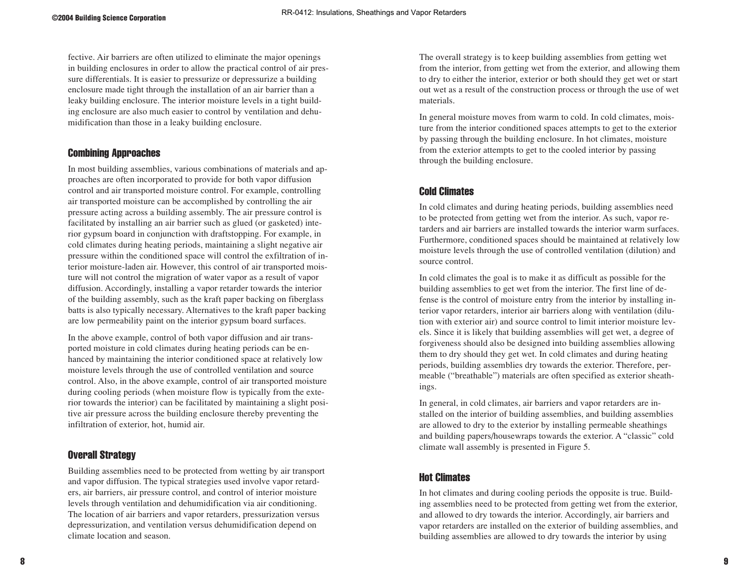fective. Air barriers are often utilized to eliminate the major openings in building enclosures in order to allow the practical control of air pressure differentials. It is easier to pressurize or depressurize a building enclosure made tight through the installation of an air barrier than a leaky building enclosure. The interior moisture levels in a tight building enclosure are also much easier to control by ventilation and dehumidification than those in a leaky building enclosure.

#### Combining Approaches

In most building assemblies, various combinations of materials and approaches are often incorporated to provide for both vapor diffusion control and air transported moisture control. For example, controlling air transported moisture can be accomplished by controlling the air pressure acting across a building assembly. The air pressure control is facilitated by installing an air barrier such as glued (or gasketed) interior gypsum board in conjunction with draftstopping. For example, in cold climates during heating periods, maintaining a slight negative air pressure within the conditioned space will control the exfiltration of interior moisture-laden air. However, this control of air transported moisture will not control the migration of water vapor as a result of vapor diffusion. Accordingly, installing a vapor retarder towards the interior of the building assembly, such as the kraft paper backing on fiberglass batts is also typically necessary. Alternatives to the kraft paper backing are low permeability paint on the interior gypsum board surfaces.

In the above example, control of both vapor diffusion and air transported moisture in cold climates during heating periods can be enhanced by maintaining the interior conditioned space at relatively low moisture levels through the use of controlled ventilation and source control. Also, in the above example, control of air transported moisture during cooling periods (when moisture flow is typically from the exterior towards the interior) can be facilitated by maintaining a slight positive air pressure across the building enclosure thereby preventing the infiltration of exterior, hot, humid air.

#### Overall Strategy

Building assemblies need to be protected from wetting by air transport and vapor diffusion. The typical strategies used involve vapor retarders, air barriers, air pressure control, and control of interior moisture levels through ventilation and dehumidification via air conditioning. The location of air barriers and vapor retarders, pressurization versus depressurization, and ventilation versus dehumidification depend on climate location and season.

The overall strategy is to keep building assemblies from getting wet from the interior, from getting wet from the exterior, and allowing them to dry to either the interior, exterior or both should they get wet or start out wet as a result of the construction process or through the use of wet materials.

In general moisture moves from warm to cold. In cold climates, moisture from the interior conditioned spaces attempts to get to the exterior by passing through the building enclosure. In hot climates, moisture from the exterior attempts to get to the cooled interior by passing through the building enclosure.

#### Cold Climates

In cold climates and during heating periods, building assemblies need to be protected from getting wet from the interior. As such, vapor retarders and air barriers are installed towards the interior warm surfaces. Furthermore, conditioned spaces should be maintained at relatively low moisture levels through the use of controlled ventilation (dilution) and source control.

In cold climates the goal is to make it as difficult as possible for the building assemblies to get wet from the interior. The first line of defense is the control of moisture entry from the interior by installing interior vapor retarders, interior air barriers along with ventilation (dilution with exterior air) and source control to limit interior moisture levels. Since it is likely that building assemblies will get wet, a degree of forgiveness should also be designed into building assemblies allowing them to dry should they get wet. In cold climates and during heating periods, building assemblies dry towards the exterior. Therefore, permeable ("breathable") materials are often specified as exterior sheathings.

In general, in cold climates, air barriers and vapor retarders are installed on the interior of building assemblies, and building assemblies are allowed to dry to the exterior by installing permeable sheathings and building papers/housewraps towards the exterior. A "classic" cold climate wall assembly is presented in Figure 5.

#### Hot Climates

In hot climates and during cooling periods the opposite is true. Building assemblies need to be protected from getting wet from the exterior, and allowed to dry towards the interior. Accordingly, air barriers and vapor retarders are installed on the exterior of building assemblies, and building assemblies are allowed to dry towards the interior by using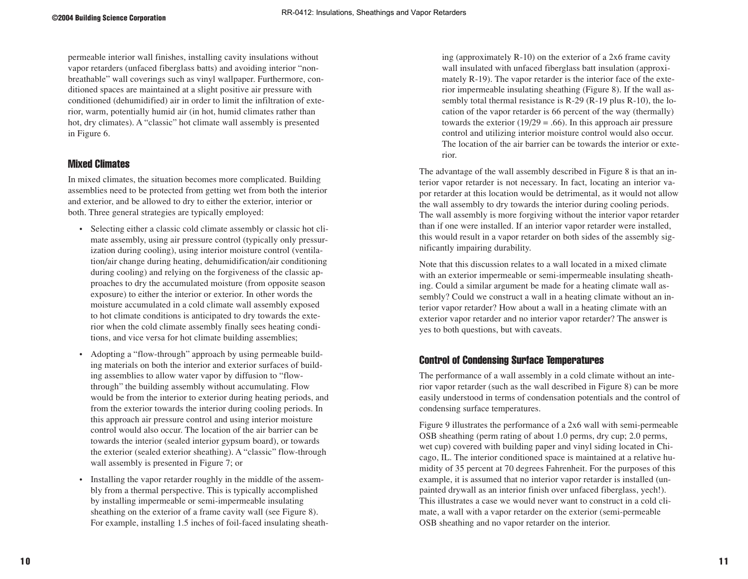permeable interior wall finishes, installing cavity insulations without vapor retarders (unfaced fiberglass batts) and avoiding interior "nonbreathable" wall coverings such as vinyl wallpaper. Furthermore, conditioned spaces are maintained at a slight positive air pressure with conditioned (dehumidified) air in order to limit the infiltration of exterior, warm, potentially humid air (in hot, humid climates rather than hot, dry climates). A "classic" hot climate wall assembly is presented in Figure 6.

#### Mixed Climates

In mixed climates, the situation becomes more complicated. Building assemblies need to be protected from getting wet from both the interior and exterior, and be allowed to dry to either the exterior, interior or both. Three general strategies are typically employed:

- Selecting either a classic cold climate assembly or classic hot climate assembly, using air pressure control (typically only pressurization during cooling), using interior moisture control (ventilation/air change during heating, dehumidification/air conditioning during cooling) and relying on the forgiveness of the classic approaches to dry the accumulated moisture (from opposite season exposure) to either the interior or exterior. In other words the moisture accumulated in a cold climate wall assembly exposed to hot climate conditions is anticipated to dry towards the exterior when the cold climate assembly finally sees heating conditions, and vice versa for hot climate building assemblies;
- • Adopting a "flow-through" approach by using permeable building materials on both the interior and exterior surfaces of building assemblies to allow water vapor by diffusion to "flowthrough" the building assembly without accumulating. Flow would be from the interior to exterior during heating periods, and from the exterior towards the interior during cooling periods. In this approach air pressure control and using interior moisture control would also occur. The location of the air barrier can be towards the interior (sealed interior gypsum board), or towards the exterior (sealed exterior sheathing). A "classic" flow-through wall assembly is presented in Figure 7; or
- • Installing the vapor retarder roughly in the middle of the assembly from a thermal perspective. This is typically accomplished by installing impermeable or semi-impermeable insulating sheathing on the exterior of a frame cavity wall (see Figure 8). For example, installing 1.5 inches of foil-faced insulating sheath-

ing (approximately R-10) on the exterior of a 2x6 frame cavity wall insulated with unfaced fiberglass batt insulation (approximately R-19). The vapor retarder is the interior face of the exterior impermeable insulating sheathing (Figure 8). If the wall assembly total thermal resistance is R-29 (R-19 plus R-10), the location of the vapor retarder is 66 percent of the way (thermally) towards the exterior  $(19/29 = .66)$ . In this approach air pressure control and utilizing interior moisture control would also occur. The location of the air barrier can be towards the interior or exterior.

The advantage of the wall assembly described in Figure 8 is that an interior vapor retarder is not necessary. In fact, locating an interior vapor retarder at this location would be detrimental, as it would not allow the wall assembly to dry towards the interior during cooling periods. The wall assembly is more forgiving without the interior vapor retarder than if one were installed. If an interior vapor retarder were installed, this would result in a vapor retarder on both sides of the assembly significantly impairing durability.

Note that this discussion relates to a wall located in a mixed climate with an exterior impermeable or semi-impermeable insulating sheathing. Could a similar argument be made for a heating climate wall assembly? Could we construct a wall in a heating climate without an interior vapor retarder? How about a wall in a heating climate with an exterior vapor retarder and no interior vapor retarder? The answer is yes to both questions, but with caveats.

#### Control of Condensing Surface Temperatures

The performance of a wall assembly in a cold climate without an interior vapor retarder (such as the wall described in Figure 8) can be more easily understood in terms of condensation potentials and the control of condensing surface temperatures.

Figure 9 illustrates the performance of a 2x6 wall with semi-permeable OSB sheathing (perm rating of about 1.0 perms, dry cup; 2.0 perms, wet cup) covered with building paper and vinyl siding located in Chicago, IL. The interior conditioned space is maintained at a relative humidity of 35 percent at 70 degrees Fahrenheit. For the purposes of this example, it is assumed that no interior vapor retarder is installed (unpainted drywall as an interior finish over unfaced fiberglass, yech!). This illustrates a case we would never want to construct in a cold climate, a wall with a vapor retarder on the exterior (semi-permeable OSB sheathing and no vapor retarder on the interior.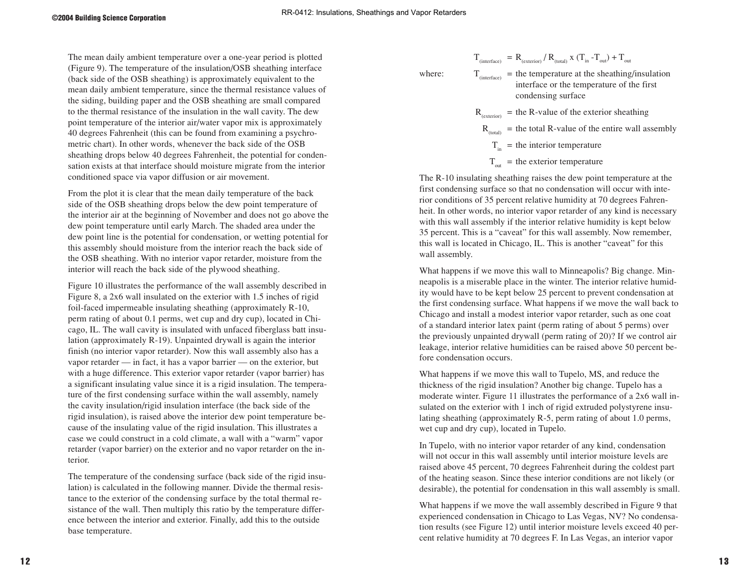The mean daily ambient temperature over a one-year period is plotted (Figure 9). The temperature of the insulation/OSB sheathing interface (back side of the OSB sheathing) is approximately equivalent to the mean daily ambient temperature, since the thermal resistance values of the siding, building paper and the OSB sheathing are small compared to the thermal resistance of the insulation in the wall cavity. The dew point temperature of the interior air/water vapor mix is approximately 40 degrees Fahrenheit (this can be found from examining a psychrometric chart). In other words, whenever the back side of the OSB sheathing drops below 40 degrees Fahrenheit, the potential for condensation exists at that interface should moisture migrate from the interior conditioned space via vapor diffusion or air movement.

From the plot it is clear that the mean daily temperature of the back side of the OSB sheathing drops below the dew point temperature of the interior air at the beginning of November and does not go above the dew point temperature until early March. The shaded area under the dew point line is the potential for condensation, or wetting potential for this assembly should moisture from the interior reach the back side of the OSB sheathing. With no interior vapor retarder, moisture from the interior will reach the back side of the plywood sheathing.

Figure 10 illustrates the performance of the wall assembly described in Figure 8, a 2x6 wall insulated on the exterior with 1.5 inches of rigid foil-faced impermeable insulating sheathing (approximately R-10, perm rating of about 0.1 perms, wet cup and dry cup), located in Chicago, IL. The wall cavity is insulated with unfaced fiberglass batt insulation (approximately R-19). Unpainted drywall is again the interior finish (no interior vapor retarder). Now this wall assembly also has a vapor retarder — in fact, it has a vapor barrier — on the exterior, but with a huge difference. This exterior vapor retarder (vapor barrier) has a significant insulating value since it is a rigid insulation. The temperature of the first condensing surface within the wall assembly, namely the cavity insulation/rigid insulation interface (the back side of the rigid insulation), is raised above the interior dew point temperature because of the insulating value of the rigid insulation. This illustrates a case we could construct in a cold climate, a wall with a "warm" vapor retarder (vapor barrier) on the exterior and no vapor retarder on the interior.

The temperature of the condensing surface (back side of the rigid insulation) is calculated in the following manner. Divide the thermal resistance to the exterior of the condensing surface by the total thermal resistance of the wall. Then multiply this ratio by the temperature difference between the interior and exterior. Finally, add this to the outside base temperature.

 $T_{\text{(interface)}} = R_{\text{(exterior)}} / R_{\text{(total)}} \times (T_{\text{in}} - T_{\text{out}}) + T_{\text{out}}$ 

where: 
$$
T_{\text{(interface)}}
$$
 = the temperature at the sheathing/insulation

interface or the temperature of the first condensing surface

- $R_{(exterior)}$  = the R-value of the exterior sheathing  $R_{(total)}$  = the total R-value of the entire wall assembly
	- $T_{in}$  = the interior temperature
	- $T<sub>out</sub>$  = the exterior temperature

The R-10 insulating sheathing raises the dew point temperature at the first condensing surface so that no condensation will occur with interior conditions of 35 percent relative humidity at 70 degrees Fahrenheit. In other words, no interior vapor retarder of any kind is necessary with this wall assembly if the interior relative humidity is kept below 35 percent. This is a "caveat" for this wall assembly. Now remember, this wall is located in Chicago, IL. This is another "caveat" for this wall assembly.

What happens if we move this wall to Minneapolis? Big change. Minneapolis is a miserable place in the winter. The interior relative humidity would have to be kept below 25 percent to prevent condensation at the first condensing surface. What happens if we move the wall back to Chicago and install a modest interior vapor retarder, such as one coat of a standard interior latex paint (perm rating of about 5 perms) over the previously unpainted drywall (perm rating of 20)? If we control air leakage, interior relative humidities can be raised above 50 percent before condensation occurs.

What happens if we move this wall to Tupelo, MS, and reduce the thickness of the rigid insulation? Another big change. Tupelo has a moderate winter. Figure 11 illustrates the performance of a 2x6 wall insulated on the exterior with 1 inch of rigid extruded polystyrene insulating sheathing (approximately R-5, perm rating of about 1.0 perms, wet cup and dry cup), located in Tupelo.

In Tupelo, with no interior vapor retarder of any kind, condensation will not occur in this wall assembly until interior moisture levels are raised above 45 percent, 70 degrees Fahrenheit during the coldest part of the heating season. Since these interior conditions are not likely (or desirable), the potential for condensation in this wall assembly is small.

What happens if we move the wall assembly described in Figure 9 that experienced condensation in Chicago to Las Vegas, NV? No condensation results (see Figure 12) until interior moisture levels exceed 40 percent relative humidity at 70 degrees F. In Las Vegas, an interior vapor